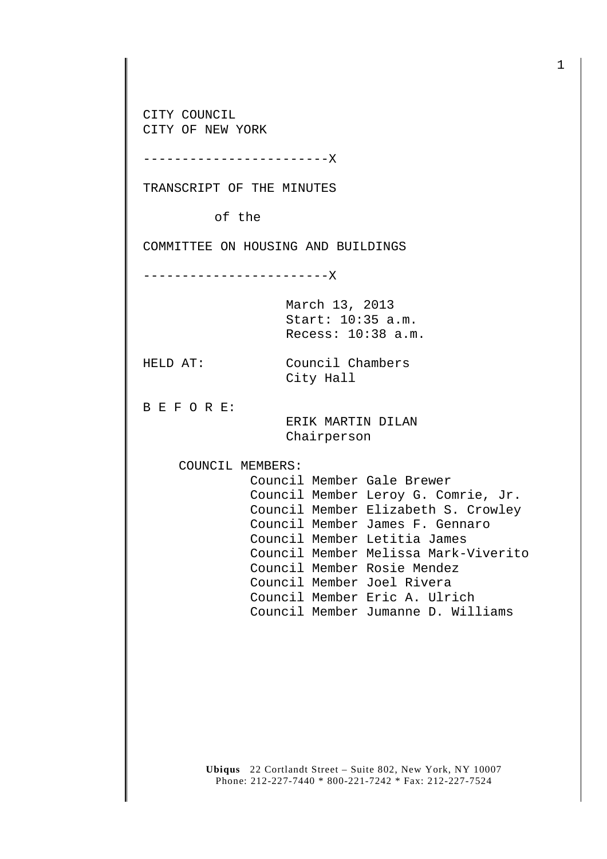CITY COUNCIL CITY OF NEW YORK

------------------------X

TRANSCRIPT OF THE MINUTES

of the

COMMITTEE ON HOUSING AND BUILDINGS

------------------------X

March 13, 2013 Start: 10:35 a.m. Recess: 10:38 a.m.

HELD AT: Council Chambers City Hall

B E F O R E:

 ERIK MARTIN DILAN Chairperson

COUNCIL MEMBERS:

 Council Member Gale Brewer Council Member Leroy G. Comrie, Jr. Council Member Elizabeth S. Crowley Council Member James F. Gennaro Council Member Letitia James Council Member Melissa Mark-Viverito Council Member Rosie Mendez Council Member Joel Rivera Council Member Eric A. Ulrich Council Member Jumanne D. Williams

**Ubiqus** 22 Cortlandt Street – Suite 802, New York, NY 10007 Phone: 212-227-7440 \* 800-221-7242 \* Fax: 212-227-7524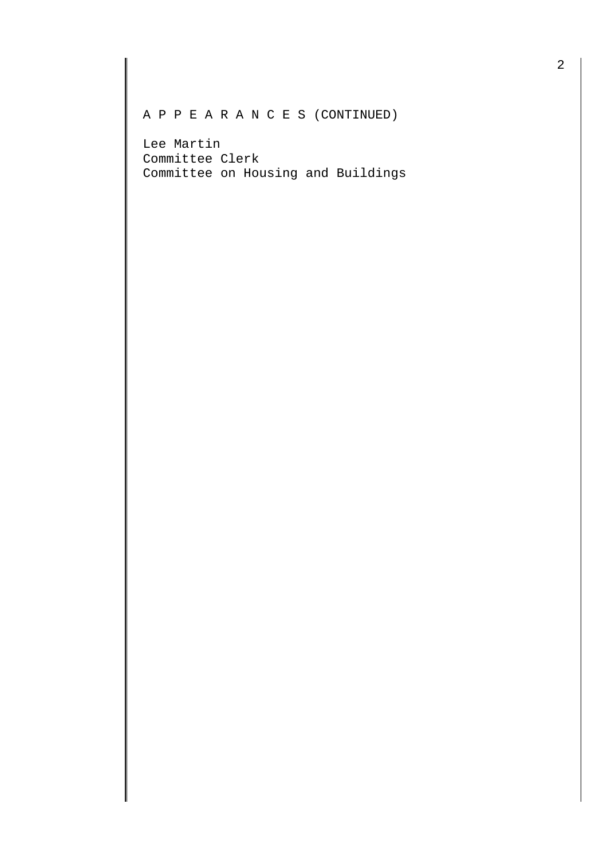A P P E A R A N C E S (CONTINUED)

Lee Martin Committee Clerk Committee on Housing and Buildings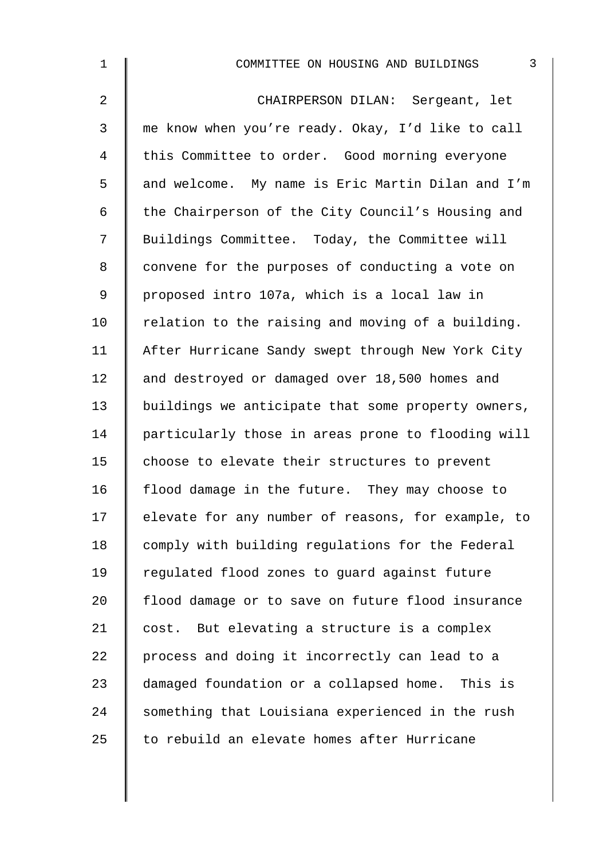| 1              | $\mathfrak{Z}$<br>COMMITTEE ON HOUSING AND BUILDINGS |
|----------------|------------------------------------------------------|
| $\overline{2}$ | CHAIRPERSON DILAN: Sergeant, let                     |
| $\mathbf{3}$   | me know when you're ready. Okay, I'd like to call    |
| 4              | this Committee to order. Good morning everyone       |
| 5              | and welcome. My name is Eric Martin Dilan and I'm    |
| 6              | the Chairperson of the City Council's Housing and    |
| 7              | Buildings Committee. Today, the Committee will       |
| 8              | convene for the purposes of conducting a vote on     |
| 9              | proposed intro 107a, which is a local law in         |
| 10             | relation to the raising and moving of a building.    |
| 11             | After Hurricane Sandy swept through New York City    |
| 12             | and destroyed or damaged over 18,500 homes and       |
| 13             | buildings we anticipate that some property owners,   |
| 14             | particularly those in areas prone to flooding will   |
| 15             | choose to elevate their structures to prevent        |
| 16             | flood damage in the future. They may choose to       |
| 17             | elevate for any number of reasons, for example, to   |
| 18             | comply with building regulations for the Federal     |
| 19             | regulated flood zones to guard against future        |
| 20             | flood damage or to save on future flood insurance    |
| 21             | cost. But elevating a structure is a complex         |
| 22             | process and doing it incorrectly can lead to a       |
| 23             | damaged foundation or a collapsed home. This is      |
| 24             | something that Louisiana experienced in the rush     |
| 25             | to rebuild an elevate homes after Hurricane          |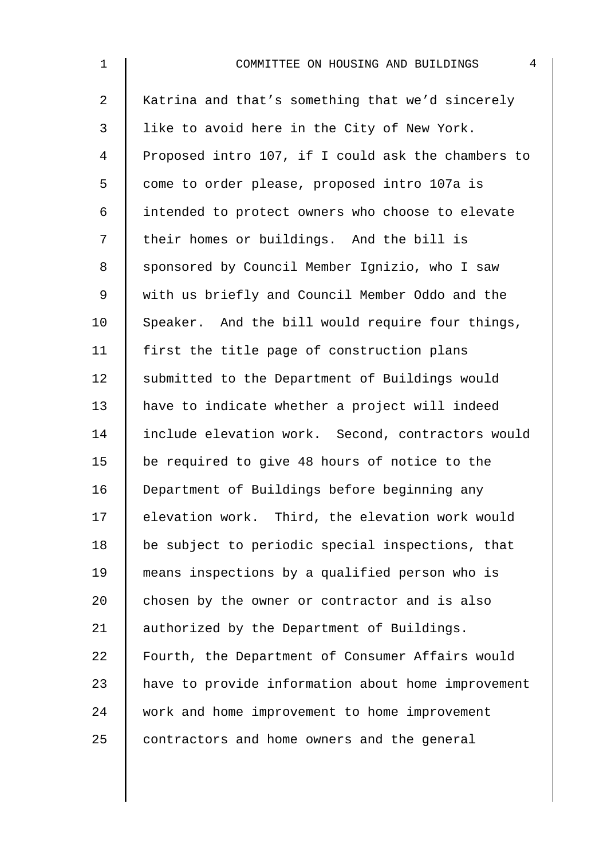| $\mathbf 1$    | 4<br>COMMITTEE ON HOUSING AND BUILDINGS            |
|----------------|----------------------------------------------------|
| $\overline{a}$ | Katrina and that's something that we'd sincerely   |
| $\mathfrak{Z}$ | like to avoid here in the City of New York.        |
| 4              | Proposed intro 107, if I could ask the chambers to |
| 5              | come to order please, proposed intro 107a is       |
| 6              | intended to protect owners who choose to elevate   |
| 7              | their homes or buildings. And the bill is          |
| 8              | sponsored by Council Member Ignizio, who I saw     |
| 9              | with us briefly and Council Member Oddo and the    |
| 10             | Speaker. And the bill would require four things,   |
| 11             | first the title page of construction plans         |
| 12             | submitted to the Department of Buildings would     |
| 13             | have to indicate whether a project will indeed     |
| 14             | include elevation work. Second, contractors would  |
| 15             | be required to give 48 hours of notice to the      |
| 16             | Department of Buildings before beginning any       |
| 17             | elevation work. Third, the elevation work would    |
| 18             | be subject to periodic special inspections, that   |
| 19             | means inspections by a qualified person who is     |
| 20             | chosen by the owner or contractor and is also      |
| 21             | authorized by the Department of Buildings.         |
| 22             | Fourth, the Department of Consumer Affairs would   |
| 23             | have to provide information about home improvement |
| 24             | work and home improvement to home improvement      |
| 25             | contractors and home owners and the general        |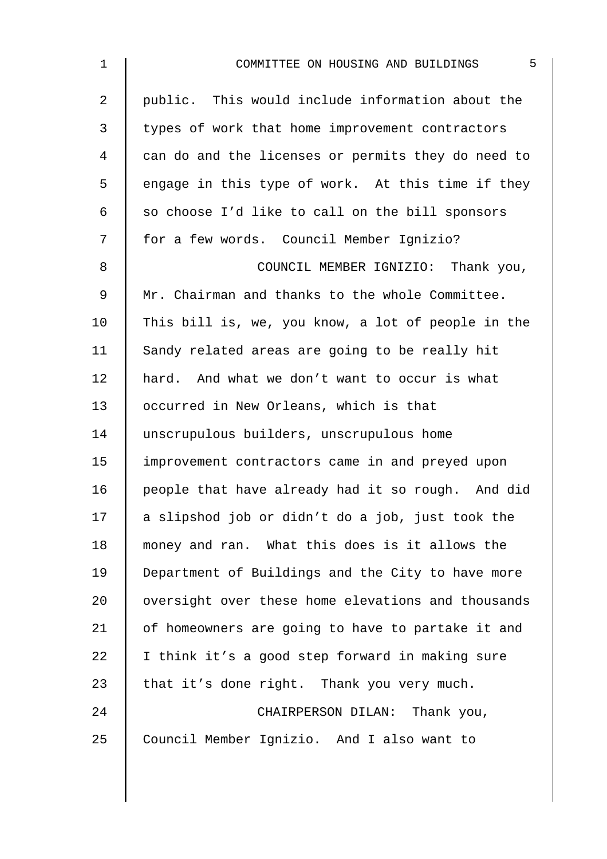| $\mathbf 1$    | 5<br>COMMITTEE ON HOUSING AND BUILDINGS            |
|----------------|----------------------------------------------------|
| $\overline{a}$ | public. This would include information about the   |
| 3              | types of work that home improvement contractors    |
| 4              | can do and the licenses or permits they do need to |
| 5              | engage in this type of work. At this time if they  |
| 6              | so choose I'd like to call on the bill sponsors    |
| 7              | for a few words. Council Member Ignizio?           |
| 8              | COUNCIL MEMBER IGNIZIO: Thank you,                 |
| $\mathsf 9$    | Mr. Chairman and thanks to the whole Committee.    |
| 10             | This bill is, we, you know, a lot of people in the |
| 11             | Sandy related areas are going to be really hit     |
| 12             | hard. And what we don't want to occur is what      |
| 13             | occurred in New Orleans, which is that             |
| 14             | unscrupulous builders, unscrupulous home           |
| 15             | improvement contractors came in and preyed upon    |
| 16             | people that have already had it so rough. And did  |
| 17             | a slipshod job or didn't do a job, just took the   |
| 18             | money and ran. What this does is it allows the     |
| 19             | Department of Buildings and the City to have more  |
| 20             | oversight over these home elevations and thousands |
| 21             | of homeowners are going to have to partake it and  |
| 22             | I think it's a good step forward in making sure    |
| 23             | that it's done right. Thank you very much.         |
| 24             | CHAIRPERSON DILAN: Thank you,                      |
| 25             | Council Member Ignizio. And I also want to         |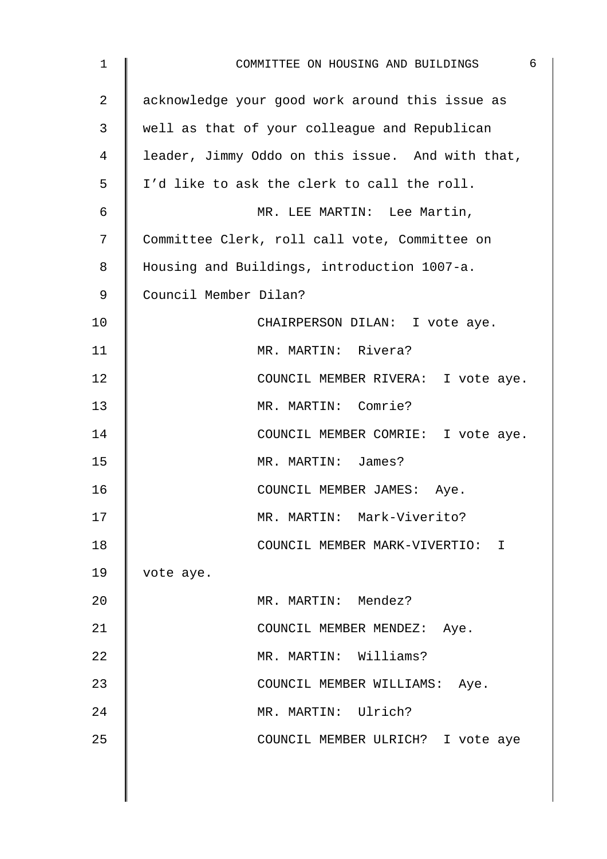| $\mathbf{1}$ | $\overline{6}$<br>COMMITTEE ON HOUSING AND BUILDINGS |
|--------------|------------------------------------------------------|
| 2            | acknowledge your good work around this issue as      |
| 3            | well as that of your colleague and Republican        |
| 4            | leader, Jimmy Oddo on this issue. And with that,     |
| 5            | I'd like to ask the clerk to call the roll.          |
| 6            | MR. LEE MARTIN: Lee Martin,                          |
| 7            | Committee Clerk, roll call vote, Committee on        |
| 8            | Housing and Buildings, introduction 1007-a.          |
| 9            | Council Member Dilan?                                |
| 10           | CHAIRPERSON DILAN: I vote aye.                       |
| 11           | MR. MARTIN: Rivera?                                  |
| 12           | COUNCIL MEMBER RIVERA: I vote aye.                   |
| 13           | MR. MARTIN: Comrie?                                  |
| 14           | COUNCIL MEMBER COMRIE: I vote aye.                   |
| 15           | MR. MARTIN: James?                                   |
| 16           | COUNCIL MEMBER JAMES: Aye.                           |
| 17           | MR. MARTIN: Mark-Viverito?                           |
| 18           | COUNCIL MEMBER MARK-VIVERTIO: I                      |
| 19           | vote aye.                                            |
| 20           | MR. MARTIN: Mendez?                                  |
| 21           | COUNCIL MEMBER MENDEZ: Aye.                          |
| 22           | MR. MARTIN: Williams?                                |
| 23           | COUNCIL MEMBER WILLIAMS: Aye.                        |
| 24           | MR. MARTIN: Ulrich?                                  |
| 25           | COUNCIL MEMBER ULRICH? I vote aye                    |
|              |                                                      |
|              |                                                      |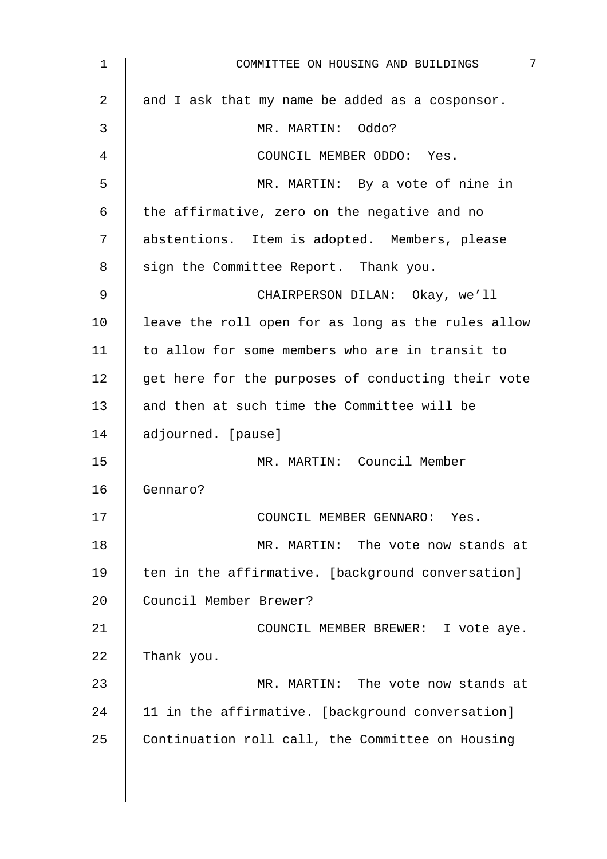| 1  | 7<br>COMMITTEE ON HOUSING AND BUILDINGS            |
|----|----------------------------------------------------|
| 2  | and I ask that my name be added as a cosponsor.    |
| 3  | MR. MARTIN: Oddo?                                  |
| 4  | COUNCIL MEMBER ODDO: Yes.                          |
| 5  | MR. MARTIN: By a vote of nine in                   |
| 6  | the affirmative, zero on the negative and no       |
| 7  | abstentions. Item is adopted. Members, please      |
| 8  | sign the Committee Report. Thank you.              |
| 9  | CHAIRPERSON DILAN: Okay, we'll                     |
| 10 | leave the roll open for as long as the rules allow |
| 11 | to allow for some members who are in transit to    |
| 12 | get here for the purposes of conducting their vote |
| 13 | and then at such time the Committee will be        |
| 14 | adjourned. [pause]                                 |
| 15 | MR. MARTIN: Council Member                         |
| 16 | Gennaro?                                           |
| 17 | COUNCIL MEMBER GENNARO: Yes.                       |
| 18 | MR. MARTIN: The vote now stands at                 |
| 19 | ten in the affirmative. [background conversation]  |
| 20 | Council Member Brewer?                             |
| 21 | COUNCIL MEMBER BREWER: I vote aye.                 |
| 22 | Thank you.                                         |
| 23 | MR. MARTIN: The vote now stands at                 |
| 24 | 11 in the affirmative. [background conversation]   |
| 25 | Continuation roll call, the Committee on Housing   |
|    |                                                    |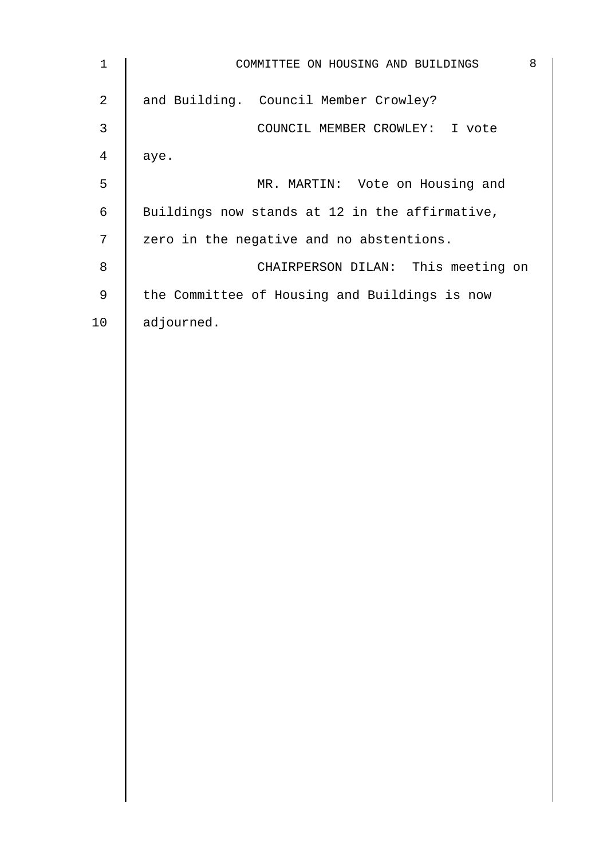| $\mathbf 1$    | 8<br>COMMITTEE ON HOUSING AND BUILDINGS        |
|----------------|------------------------------------------------|
| $\overline{2}$ | and Building. Council Member Crowley?          |
| 3              | COUNCIL MEMBER CROWLEY: I vote                 |
| $\overline{4}$ | aye.                                           |
| 5              | MR. MARTIN: Vote on Housing and                |
| $\epsilon$     | Buildings now stands at 12 in the affirmative, |
| $\sqrt{ }$     | zero in the negative and no abstentions.       |
| $\,8\,$        | CHAIRPERSON DILAN: This meeting on             |
| $\mathsf 9$    | the Committee of Housing and Buildings is now  |
| 10             | adjourned.                                     |
|                |                                                |
|                |                                                |
|                |                                                |
|                |                                                |
|                |                                                |
|                |                                                |
|                |                                                |
|                |                                                |
|                |                                                |
|                |                                                |
|                |                                                |
|                |                                                |
|                |                                                |
|                |                                                |
|                |                                                |
|                |                                                |